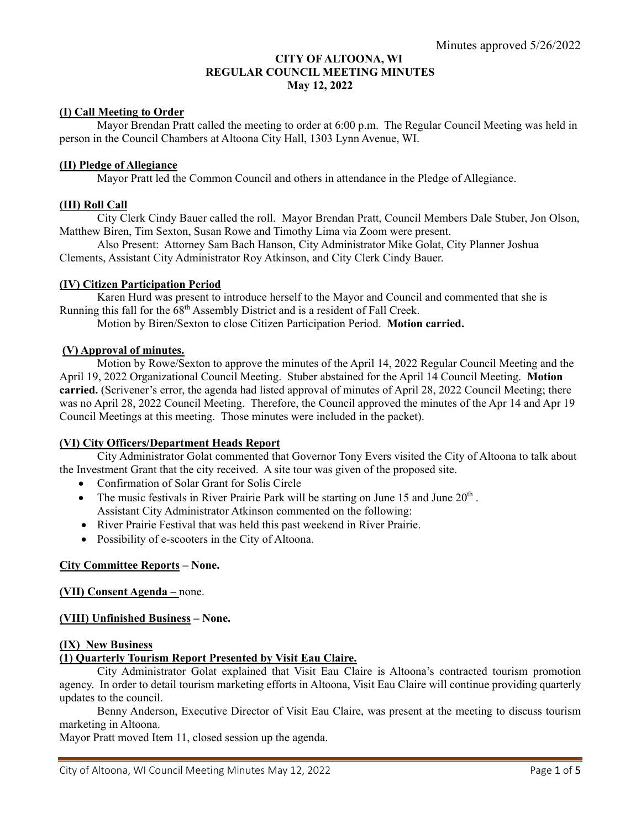# **CITY OF ALTOONA, WI REGULAR COUNCIL MEETING MINUTES May 12, 2022**

## **(I) Call Meeting to Order**

 Mayor Brendan Pratt called the meeting to order at 6:00 p.m. The Regular Council Meeting was held in person in the Council Chambers at Altoona City Hall, 1303 Lynn Avenue, WI.

### **(II) Pledge of Allegiance**

Mayor Pratt led the Common Council and others in attendance in the Pledge of Allegiance.

### **(III) Roll Call**

 City Clerk Cindy Bauer called the roll. Mayor Brendan Pratt, Council Members Dale Stuber, Jon Olson, Matthew Biren, Tim Sexton, Susan Rowe and Timothy Lima via Zoom were present.

 Also Present: Attorney Sam Bach Hanson, City Administrator Mike Golat, City Planner Joshua Clements, Assistant City Administrator Roy Atkinson, and City Clerk Cindy Bauer.

### **(IV) Citizen Participation Period**

 Karen Hurd was present to introduce herself to the Mayor and Council and commented that she is Running this fall for the  $68<sup>th</sup>$  Assembly District and is a resident of Fall Creek.

Motion by Biren/Sexton to close Citizen Participation Period. **Motion carried.**

### **(V) Approval of minutes.**

 Motion by Rowe/Sexton to approve the minutes of the April 14, 2022 Regular Council Meeting and the April 19, 2022 Organizational Council Meeting. Stuber abstained for the April 14 Council Meeting. **Motion carried.** (Scrivener's error, the agenda had listed approval of minutes of April 28, 2022 Council Meeting; there was no April 28, 2022 Council Meeting. Therefore, the Council approved the minutes of the Apr 14 and Apr 19 Council Meetings at this meeting. Those minutes were included in the packet).

### **(VI) City Officers/Department Heads Report**

 City Administrator Golat commented that Governor Tony Evers visited the City of Altoona to talk about the Investment Grant that the city received. A site tour was given of the proposed site.

- Confirmation of Solar Grant for Solis Circle
- The music festivals in River Prairie Park will be starting on June 15 and June  $20<sup>th</sup>$ . Assistant City Administrator Atkinson commented on the following:
- River Prairie Festival that was held this past weekend in River Prairie.
- Possibility of e-scooters in the City of Altoona.

### **City Committee Reports – None.**

### **(VII) Consent Agenda –** none.

### **(VIII) Unfinished Business – None.**

#### **(IX) New Business**

### **(1) Quarterly Tourism Report Presented by Visit Eau Claire.**

City Administrator Golat explained that Visit Eau Claire is Altoona's contracted tourism promotion agency. In order to detail tourism marketing efforts in Altoona, Visit Eau Claire will continue providing quarterly updates to the council.

Benny Anderson, Executive Director of Visit Eau Claire, was present at the meeting to discuss tourism marketing in Altoona.

Mayor Pratt moved Item 11, closed session up the agenda.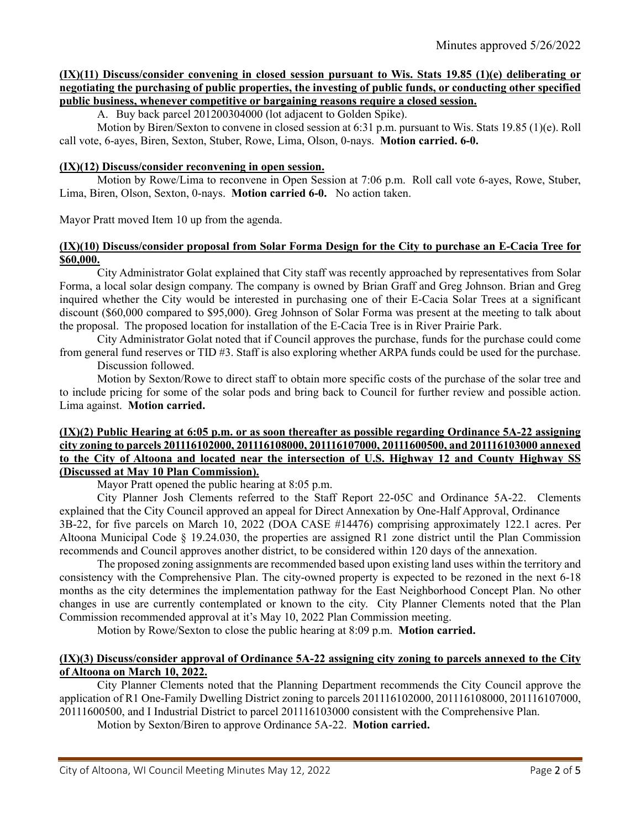## **(IX)(11) Discuss/consider convening in closed session pursuant to Wis. Stats 19.85 (1)(e) deliberating or negotiating the purchasing of public properties, the investing of public funds, or conducting other specified public business, whenever competitive or bargaining reasons require a closed session.**

A. Buy back parcel 201200304000 (lot adjacent to Golden Spike).

Motion by Biren/Sexton to convene in closed session at 6:31 p.m. pursuant to Wis. Stats 19.85 (1)(e). Roll call vote, 6-ayes, Biren, Sexton, Stuber, Rowe, Lima, Olson, 0-nays. **Motion carried. 6-0.**

#### **(IX)(12) Discuss/consider reconvening in open session.**

 Motion by Rowe/Lima to reconvene in Open Session at 7:06 p.m. Roll call vote 6-ayes, Rowe, Stuber, Lima, Biren, Olson, Sexton, 0-nays. **Motion carried 6-0.** No action taken.

Mayor Pratt moved Item 10 up from the agenda.

### **(IX)(10) Discuss/consider proposal from Solar Forma Design for the City to purchase an E-Cacia Tree for \$60,000.**

City Administrator Golat explained that City staff was recently approached by representatives from Solar Forma, a local solar design company. The company is owned by Brian Graff and Greg Johnson. Brian and Greg inquired whether the City would be interested in purchasing one of their E-Cacia Solar Trees at a significant discount (\$60,000 compared to \$95,000). Greg Johnson of Solar Forma was present at the meeting to talk about the proposal. The proposed location for installation of the E-Cacia Tree is in River Prairie Park.

City Administrator Golat noted that if Council approves the purchase, funds for the purchase could come from general fund reserves or TID #3. Staff is also exploring whether ARPA funds could be used for the purchase.

Discussion followed.

 Motion by Sexton/Rowe to direct staff to obtain more specific costs of the purchase of the solar tree and to include pricing for some of the solar pods and bring back to Council for further review and possible action. Lima against. **Motion carried.** 

## **(IX)(2) Public Hearing at 6:05 p.m. or as soon thereafter as possible regarding Ordinance 5A-22 assigning city zoning to parcels 201116102000, 201116108000, 201116107000, 20111600500, and 201116103000 annexed to the City of Altoona and located near the intersection of U.S. Highway 12 and County Highway SS (Discussed at May 10 Plan Commission).**

Mayor Pratt opened the public hearing at 8:05 p.m.

City Planner Josh Clements referred to the Staff Report 22-05C and Ordinance 5A-22. Clements explained that the City Council approved an appeal for Direct Annexation by One-Half Approval, Ordinance 3B-22, for five parcels on March 10, 2022 (DOA CASE #14476) comprising approximately 122.1 acres. Per Altoona Municipal Code § 19.24.030, the properties are assigned R1 zone district until the Plan Commission recommends and Council approves another district, to be considered within 120 days of the annexation.

The proposed zoning assignments are recommended based upon existing land uses within the territory and consistency with the Comprehensive Plan. The city-owned property is expected to be rezoned in the next 6-18 months as the city determines the implementation pathway for the East Neighborhood Concept Plan. No other changes in use are currently contemplated or known to the city. City Planner Clements noted that the Plan Commission recommended approval at it's May 10, 2022 Plan Commission meeting.

Motion by Rowe/Sexton to close the public hearing at 8:09 p.m. **Motion carried.**

## **(IX)(3) Discuss/consider approval of Ordinance 5A-22 assigning city zoning to parcels annexed to the City of Altoona on March 10, 2022.**

City Planner Clements noted that the Planning Department recommends the City Council approve the application of R1 One-Family Dwelling District zoning to parcels 201116102000, 201116108000, 201116107000, 20111600500, and I Industrial District to parcel 201116103000 consistent with the Comprehensive Plan.

Motion by Sexton/Biren to approve Ordinance 5A-22. **Motion carried.**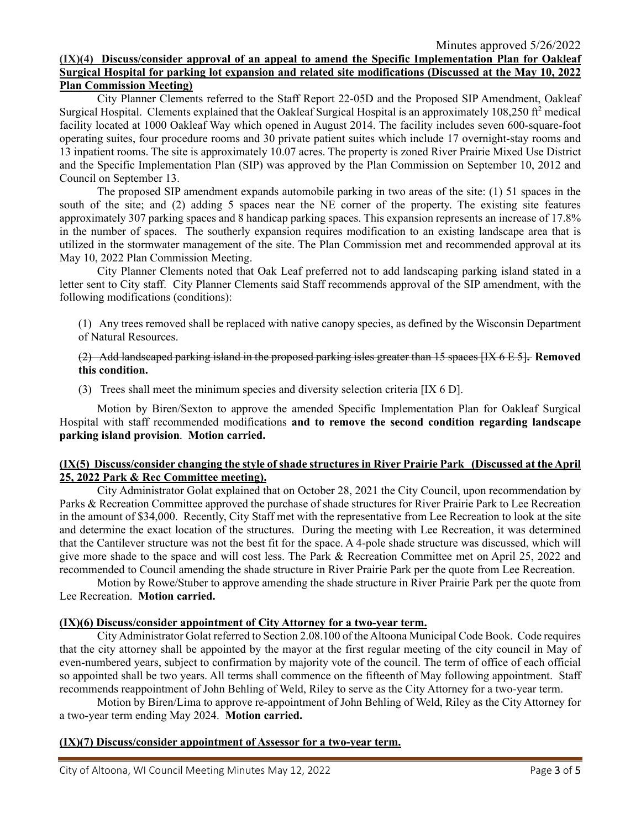Minutes approved 5/26/2022

### **(IX)(4) Discuss/consider approval of an appeal to amend the Specific Implementation Plan for Oakleaf Surgical Hospital for parking lot expansion and related site modifications (Discussed at the May 10, 2022 Plan Commission Meeting)**

City Planner Clements referred to the Staff Report 22-05D and the Proposed SIP Amendment, Oakleaf Surgical Hospital. Clements explained that the Oakleaf Surgical Hospital is an approximately 108,250  $\text{ft}^2$  medical facility located at 1000 Oakleaf Way which opened in August 2014. The facility includes seven 600-square-foot operating suites, four procedure rooms and 30 private patient suites which include 17 overnight-stay rooms and 13 inpatient rooms. The site is approximately 10.07 acres. The property is zoned River Prairie Mixed Use District and the Specific Implementation Plan (SIP) was approved by the Plan Commission on September 10, 2012 and Council on September 13.

The proposed SIP amendment expands automobile parking in two areas of the site: (1) 51 spaces in the south of the site; and (2) adding 5 spaces near the NE corner of the property. The existing site features approximately 307 parking spaces and 8 handicap parking spaces. This expansion represents an increase of 17.8% in the number of spaces. The southerly expansion requires modification to an existing landscape area that is utilized in the stormwater management of the site. The Plan Commission met and recommended approval at its May 10, 2022 Plan Commission Meeting.

City Planner Clements noted that Oak Leaf preferred not to add landscaping parking island stated in a letter sent to City staff. City Planner Clements said Staff recommends approval of the SIP amendment, with the following modifications (conditions):

(1) Any trees removed shall be replaced with native canopy species, as defined by the Wisconsin Department of Natural Resources.

## (2) Add landscaped parking island in the proposed parking isles greater than 15 spaces [IX 6 E 5]**. Removed this condition.**

(3) Trees shall meet the minimum species and diversity selection criteria [IX 6 D].

Motion by Biren/Sexton to approve the amended Specific Implementation Plan for Oakleaf Surgical Hospital with staff recommended modifications **and to remove the second condition regarding landscape parking island provision**. **Motion carried.**

## **(IX(5) Discuss/consider changing the style of shade structures in River Prairie Park (Discussed at the April 25, 2022 Park & Rec Committee meeting).**

City Administrator Golat explained that on October 28, 2021 the City Council, upon recommendation by Parks & Recreation Committee approved the purchase of shade structures for River Prairie Park to Lee Recreation in the amount of \$34,000. Recently, City Staff met with the representative from Lee Recreation to look at the site and determine the exact location of the structures. During the meeting with Lee Recreation, it was determined that the Cantilever structure was not the best fit for the space. A 4-pole shade structure was discussed, which will give more shade to the space and will cost less. The Park & Recreation Committee met on April 25, 2022 and recommended to Council amending the shade structure in River Prairie Park per the quote from Lee Recreation.

Motion by Rowe/Stuber to approve amending the shade structure in River Prairie Park per the quote from Lee Recreation. **Motion carried.**

# **(IX)(6) Discuss/consider appointment of City Attorney for a two-year term.**

City Administrator Golat referred to Section 2.08.100 of the Altoona Municipal Code Book. Code requires that the city attorney shall be appointed by the mayor at the first regular meeting of the city council in May of even-numbered years, subject to confirmation by majority vote of the council. The term of office of each official so appointed shall be two years. All terms shall commence on the fifteenth of May following appointment. Staff recommends reappointment of John Behling of Weld, Riley to serve as the City Attorney for a two-year term.

Motion by Biren/Lima to approve re-appointment of John Behling of Weld, Riley as the City Attorney for a two-year term ending May 2024. **Motion carried.**

# **(IX)(7) Discuss/consider appointment of Assessor for a two-year term.**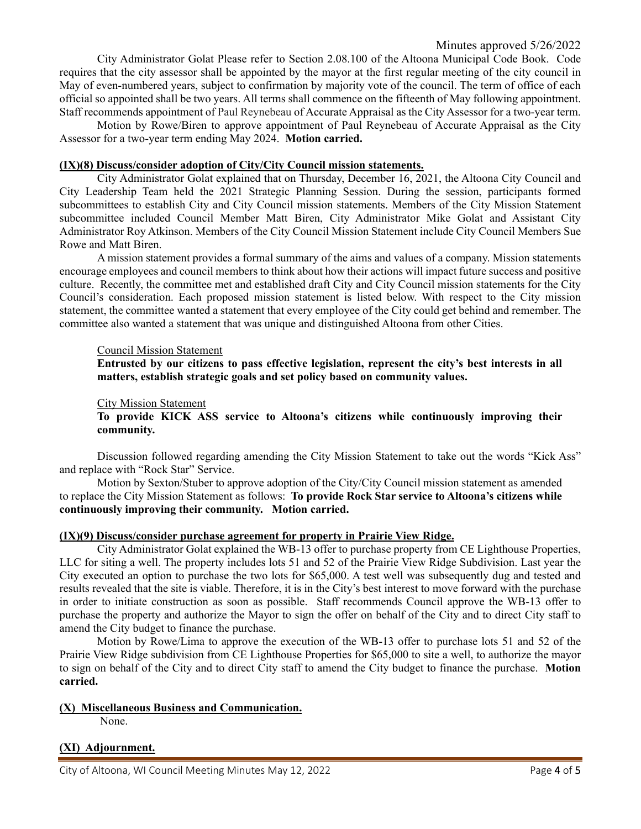City Administrator Golat Please refer to Section 2.08.100 of the Altoona Municipal Code Book. Code requires that the city assessor shall be appointed by the mayor at the first regular meeting of the city council in May of even-numbered years, subject to confirmation by majority vote of the council. The term of office of each official so appointed shall be two years. All terms shall commence on the fifteenth of May following appointment. Staff recommends appointment of Paul Reynebeau of Accurate Appraisal as the City Assessor for a two-year term.

Motion by Rowe/Biren to approve appointment of Paul Reynebeau of Accurate Appraisal as the City Assessor for a two-year term ending May 2024. **Motion carried.**

### **(IX)(8) Discuss/consider adoption of City/City Council mission statements.**

City Administrator Golat explained that on Thursday, December 16, 2021, the Altoona City Council and City Leadership Team held the 2021 Strategic Planning Session. During the session, participants formed subcommittees to establish City and City Council mission statements. Members of the City Mission Statement subcommittee included Council Member Matt Biren, City Administrator Mike Golat and Assistant City Administrator Roy Atkinson. Members of the City Council Mission Statement include City Council Members Sue Rowe and Matt Biren.

A mission statement provides a formal summary of the aims and values of a company. Mission statements encourage employees and council members to think about how their actions will impact future success and positive culture. Recently, the committee met and established draft City and City Council mission statements for the City Council's consideration. Each proposed mission statement is listed below. With respect to the City mission statement, the committee wanted a statement that every employee of the City could get behind and remember. The committee also wanted a statement that was unique and distinguished Altoona from other Cities.

#### Council Mission Statement

**Entrusted by our citizens to pass effective legislation, represent the city's best interests in all matters, establish strategic goals and set policy based on community values.** 

#### City Mission Statement

**To provide KICK ASS service to Altoona's citizens while continuously improving their community.** 

Discussion followed regarding amending the City Mission Statement to take out the words "Kick Ass" and replace with "Rock Star" Service.

Motion by Sexton/Stuber to approve adoption of the City/City Council mission statement as amended to replace the City Mission Statement as follows: **To provide Rock Star service to Altoona's citizens while continuously improving their community. Motion carried.**

### **(IX)(9) Discuss/consider purchase agreement for property in Prairie View Ridge.**

City Administrator Golat explained the WB-13 offer to purchase property from CE Lighthouse Properties, LLC for siting a well. The property includes lots 51 and 52 of the Prairie View Ridge Subdivision. Last year the City executed an option to purchase the two lots for \$65,000. A test well was subsequently dug and tested and results revealed that the site is viable. Therefore, it is in the City's best interest to move forward with the purchase in order to initiate construction as soon as possible. Staff recommends Council approve the WB-13 offer to purchase the property and authorize the Mayor to sign the offer on behalf of the City and to direct City staff to amend the City budget to finance the purchase.

Motion by Rowe/Lima to approve the execution of the WB-13 offer to purchase lots 51 and 52 of the Prairie View Ridge subdivision from CE Lighthouse Properties for \$65,000 to site a well, to authorize the mayor to sign on behalf of the City and to direct City staff to amend the City budget to finance the purchase. **Motion carried.**

### **(X) Miscellaneous Business and Communication.**

None.

## **(XI) Adjournment.**